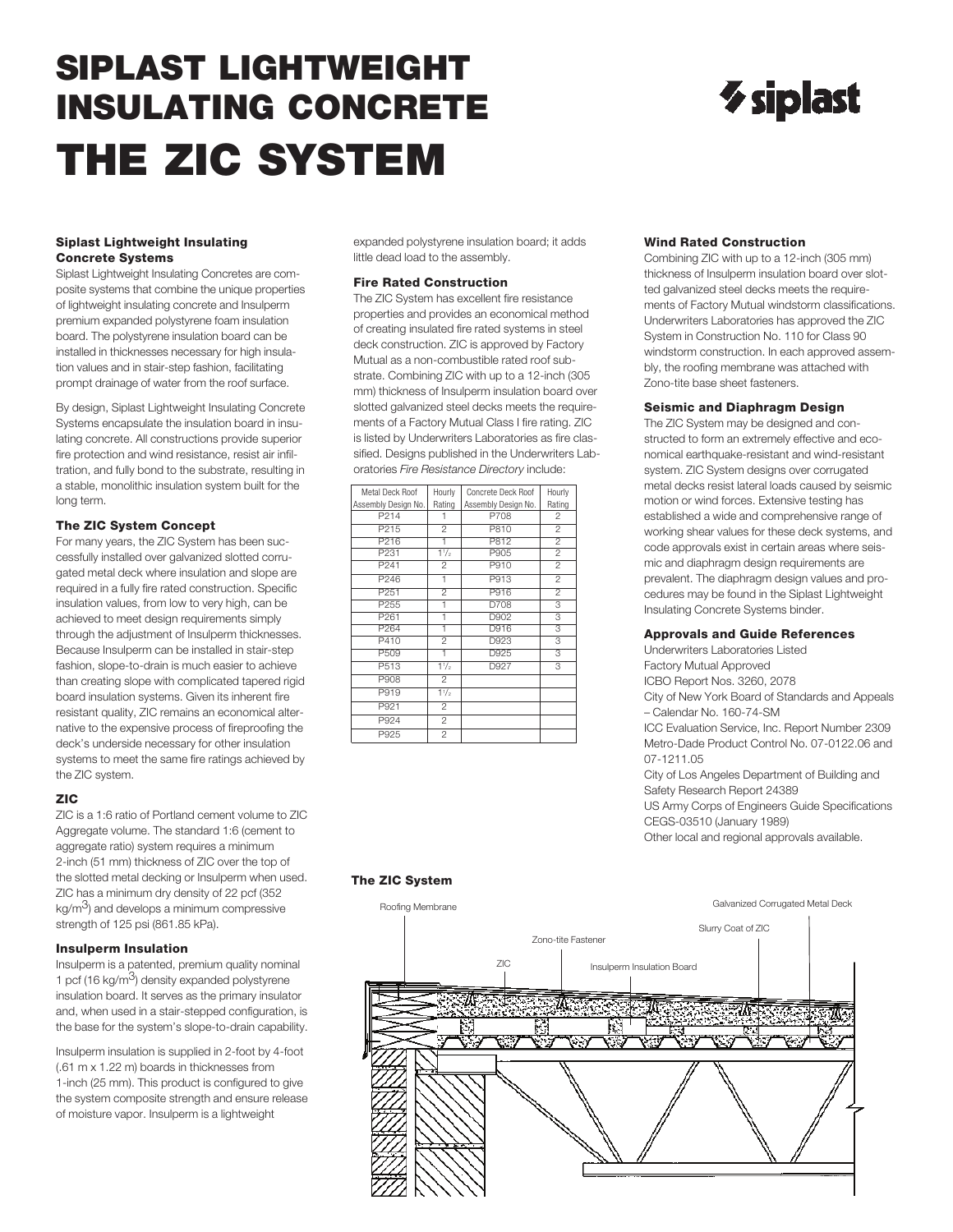# **SIPLAST LIGHTWEIGHT INSULATING CONCRETE THE ZIC SYSTEM**

#### **Siplast Lightweight Insulating Concrete Systems**

Siplast Lightweight Insulating Concretes are composite systems that combine the unique properties of lightweight insulating concrete and Insulperm premium expanded polystyrene foam insulation board. The polystyrene insulation board can be installed in thicknesses necessary for high insulation values and in stair-step fashion, facilitating prompt drainage of water from the roof surface.

By design, Siplast Lightweight Insulating Concrete Systems encapsulate the insulation board in insulating concrete. All constructions provide superior fire protection and wind resistance, resist air infiltration, and fully bond to the substrate, resulting in a stable, monolithic insulation system built for the long term.

# **The ZIC System Concept**

For many years, the ZIC System has been successfully installed over galvanized slotted corrugated metal deck where insulation and slope are required in a fully fire rated construction. Specific insulation values, from low to very high, can be achieved to meet design requirements simply through the adjustment of Insulperm thicknesses. Because Insulperm can be installed in stair-step fashion, slope-to-drain is much easier to achieve than creating slope with complicated tapered rigid board insulation systems. Given its inherent fire resistant quality, ZIC remains an economical alternative to the expensive process of fireproofing the deck's underside necessary for other insulation systems to meet the same fire ratings achieved by the ZIC system.

# **ZIC**

ZIC is a 1:6 ratio of Portland cement volume to ZIC Aggregate volume. The standard 1:6 (cement to aggregate ratio) system requires a minimum 2-inch (51 mm) thickness of ZIC over the top of the slotted metal decking or Insulperm when used. ZIC has a minimum dry density of 22 pcf (352  $kg/m<sup>3</sup>$ ) and develops a minimum compressive strength of 125 psi (861.85 kPa).

# **Insulperm Insulation**

Insulperm is a patented, premium quality nominal 1 pcf (16 kg/ $m<sup>3</sup>$ ) density expanded polystyrene insulation board. It serves as the primary insulator and, when used in a stair-stepped configuration, is the base for the system's slope-to-drain capability.

Insulperm insulation is supplied in 2-foot by 4-foot (.61 m x 1.22 m) boards in thicknesses from 1-inch (25 mm). This product is configured to give the system composite strength and ensure release of moisture vapor. Insulperm is a lightweight

expanded polystyrene insulation board; it adds little dead load to the assembly.

#### **Fire Rated Construction**

The ZIC System has excellent fire resistance properties and provides an economical method of creating insulated fire rated systems in steel deck construction. ZIC is approved by Factory Mutual as a non-combustible rated roof substrate. Combining ZIC with up to a 12-inch (305 mm) thickness of Insulperm insulation board over slotted galvanized steel decks meets the requirements of a Factory Mutual Class I fire rating. ZIC is listed by Underwriters Laboratories as fire classified. Designs published in the Underwriters Laboratories *Fire Resistance Directory* include:

| Metal Deck Roof     | Hourly         | Concrete Deck Roof  | Hourly         |  |  |
|---------------------|----------------|---------------------|----------------|--|--|
| Assembly Design No. | Rating         | Assembly Design No. | Rating         |  |  |
| P <sub>214</sub>    | 1              | P708                | $\overline{c}$ |  |  |
| P215                | $\overline{2}$ | P810                | $\overline{2}$ |  |  |
| P216                | 1              | P812                | 2              |  |  |
| P231                | 11/2           | P905                | $\overline{2}$ |  |  |
| P241                | $\overline{c}$ | P910                | $\overline{2}$ |  |  |
| P246                | 1              | P913                | $\overline{2}$ |  |  |
| P <sub>251</sub>    | $\overline{2}$ | P916                | $\overline{2}$ |  |  |
| P <sub>255</sub>    | ī              | D708                | 3              |  |  |
| P261                | 1              | D902                | 3              |  |  |
| P <sub>264</sub>    | ī              | D916                | 3              |  |  |
| P410                | $\overline{2}$ | D923                | 3              |  |  |
| P509                |                | D925                | 3              |  |  |
| P513                | $1\frac{1}{2}$ | D927                | 3              |  |  |
| P908                | $\overline{2}$ |                     |                |  |  |
| P919                | $1\frac{1}{2}$ |                     |                |  |  |
| P921                | $\overline{2}$ |                     |                |  |  |
| P924                | $\overline{2}$ |                     |                |  |  |
| P925                | $\overline{c}$ |                     |                |  |  |
|                     |                |                     |                |  |  |

# $\gamma$  siplast

### **Wind Rated Construction**

Combining ZIC with up to a 12-inch (305 mm) thickness of Insulperm insulation board over slotted galvanized steel decks meets the requirements of Factory Mutual windstorm classifications. Underwriters Laboratories has approved the ZIC System in Construction No. 110 for Class 90 windstorm construction. In each approved assembly, the roofing membrane was attached with Zono-tite base sheet fasteners.

# **Seismic and Diaphragm Design**

The ZIC System may be designed and constructed to form an extremely effective and economical earthquake-resistant and wind-resistant system. ZIC System designs over corrugated metal decks resist lateral loads caused by seismic motion or wind forces. Extensive testing has established a wide and comprehensive range of working shear values for these deck systems, and code approvals exist in certain areas where seismic and diaphragm design requirements are prevalent. The diaphragm design values and procedures may be found in the Siplast Lightweight Insulating Concrete Systems binder.

#### **Approvals and Guide References**

Underwriters Laboratories Listed Factory Mutual Approved ICBO Report Nos. 3260, 2078 City of New York Board of Standards and Appeals – Calendar No. 160-74-SM ICC Evaluation Service, Inc. Report Number 2309 Metro-Dade Product Control No. 07-0122.06 and 07-1211.05 City of Los Angeles Department of Building and Safety Research Report 24389

US Army Corps of Engineers Guide Specifications CEGS-03510 (January 1989)

Other local and regional approvals available.

# **The ZIC System**

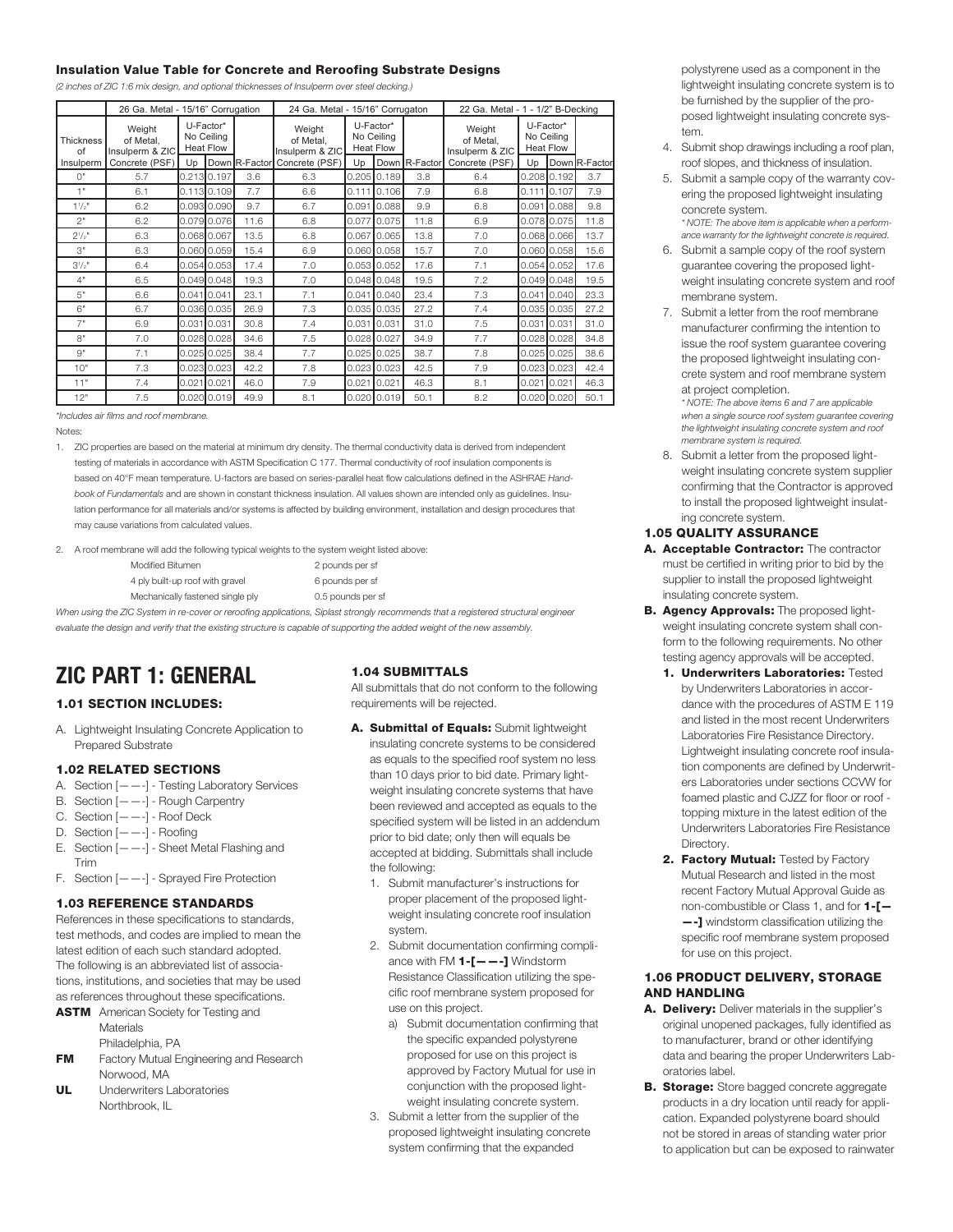#### **Insulation Value Table for Concrete and Reroofing Substrate Designs**

*(2 inches of ZIC 1:6 mix design, and optional thicknesses of Insulperm over steel decking.)*

|                        | 26 Ga. Metal - 15/16" Corrugation      |                                             | 24 Ga. Metal - 15/16" Corrugaton |               |                                        |                                             | 22 Ga. Metal - 1 - 1/2" B-Decking |               |                                        |                                             |               |               |
|------------------------|----------------------------------------|---------------------------------------------|----------------------------------|---------------|----------------------------------------|---------------------------------------------|-----------------------------------|---------------|----------------------------------------|---------------------------------------------|---------------|---------------|
| <b>Thickness</b><br>of | Weight<br>of Metal.<br>Insulperm & ZIC | U-Factor*<br>No Ceilina<br><b>Heat Flow</b> |                                  |               | Weight<br>of Metal.<br>Insulperm & ZIC | U-Factor*<br>No Ceiling<br><b>Heat Flow</b> |                                   |               | Weight<br>of Metal,<br>Insulperm & ZIC | U-Factor*<br>No Ceiling<br><b>Heat Flow</b> |               |               |
| Insulperm              | Concrete (PSF)                         | Un                                          |                                  | Down R-Factor | Concrete (PSF)                         | U <sub>D</sub>                              |                                   | Down R-Factor | Concrete (PSF)                         | Up                                          |               | Down R-Factor |
| $\bigcap$ "            | 5.7                                    |                                             | 0.213 0.197                      | 3.6           | 6.3                                    |                                             | $0.205$ 0.189                     | 3.8           | 6.4                                    |                                             | $0.208$ 0.192 | 3.7           |
| 1"                     | 6.1                                    |                                             | 0.11300.109                      | 7.7           | 6.6                                    | 0.111                                       | 0.106                             | 7.9           | 6.8                                    | $0.111$ 0.107                               |               | 7.9           |
| $1^{1}/2$ <sup>"</sup> | 6.2                                    |                                             | 0.093 0.090                      | 9.7           | 6.7                                    | 0.091                                       | 0.088                             | 9.9           | 6.8                                    |                                             | 0.091 0.088   | 9.8           |
| 2"                     | 6.2                                    |                                             | 0.079 0.076                      | 11.6          | 6.8                                    | 0.077                                       | 0.075                             | 11.8          | 6.9                                    |                                             | 0.078 0.075   | 11.8          |
| $2^{1/2}$ "            | 6.3                                    |                                             | 0.068 0.067                      | 13.5          | 6.8                                    | 0.067                                       | 10.065                            | 13.8          | 7.0                                    |                                             | 0.068 0.066   | 13.7          |
| 3"                     | 6.3                                    |                                             | 0.060 0.059                      | 15.4          | 6.9                                    |                                             | $0.060$ 0.058                     | 15.7          | 7.0                                    |                                             | 0.060 0.058   | 15.6          |
| $3^{1}/2"$             | 6.4                                    |                                             | 0.05400.053                      | 17.4          | 7.0                                    |                                             | $0.053$ 0.052                     | 17.6          | 7.1                                    |                                             | 0.054 0.052   | 17.6          |
| 4"                     | 6.5                                    |                                             | 0.049 0.048                      | 19.3          | 7.0                                    |                                             | $0.048$ 0.048                     | 19.5          | 7.2                                    |                                             | 0.049 0.048   | 19.5          |
| 5"                     | 6.6                                    | $0.041$ 0.041                               |                                  | 23.1          | 7.1                                    |                                             | $0.041$ 0.040                     | 23.4          | 7.3                                    |                                             | 0.041 0.040   | 23.3          |
| 6"                     | 6.7                                    |                                             | 0.036 0.035                      | 26.9          | 7.3                                    |                                             | $0.035$ 0.035                     | 27.2          | 7.4                                    |                                             | 0.035 0.035   | 27.2          |
| 7"                     | 6.9                                    | 0.031 0.031                                 |                                  | 30.8          | 7.4                                    | 0.031                                       | 0.031                             | 31.0          | 7.5                                    | 0.031 0.031                                 |               | 31.0          |
| $R$ "                  | 7.0                                    |                                             | $0.028$ 0.028                    | 34.6          | 7.5                                    |                                             | 0.028 0.027                       | 34.9          | 7.7                                    |                                             | 0.028 0.028   | 34.8          |
| $Q^{\prime\prime}$     | 7.1                                    |                                             | $0.025 \, 0.025$                 | 38.4          | 7.7                                    |                                             | $0.025$ 0.025                     | 38.7          | 7.8                                    |                                             | $0.025$ 0.025 | 38.6          |
| 10"                    | 7.3                                    |                                             | 0.023 0.023                      | 42.2          | 7.8                                    |                                             | $0.023$ 0.023                     | 42.5          | 7.9                                    |                                             | $0.023$ 0.023 | 42.4          |
| 11"                    | 7.4                                    | 0.0210.021                                  |                                  | 46.0          | 7.9                                    | 0.021                                       | 0.021                             | 46.3          | 8.1                                    | 0.021                                       | 0.021         | 46.3          |
| 12"                    | 7.5                                    |                                             | $0.020$ 0.019                    | 49.9          | 8.1                                    |                                             | $0.020$ 0.019                     | 50.1          | 8.2                                    |                                             | 0.020 0.020   | 50.1          |

*\*Includes air films and roof membrane.*

Notes:

1. ZIC properties are based on the material at minimum dry density. The thermal conductivity data is derived from independent testing of materials in accordance with ASTM Specification C 177. Thermal conductivity of roof insulation components is based on 40°F mean temperature. U-factors are based on series-parallel heat flow calculations defined in the ASHRAE *Handbook of Fundamentals* and are shown in constant thickness insulation. All values shown are intended only as guidelines. Insulation performance for all materials and/or systems is affected by building environment, installation and design procedures that may cause variations from calculated values.

2. A roof membrane will add the following typical weights to the system weight listed above:

- Modified Bitumen 2 pounds per sf 4 ply built-up roof with gravel 6 pounds per sf Mechanically fastened single ply 0.5 pounds per sf
- 

When using the ZIC System in re-cover or reroofing applications, Siplast strongly recommends that a registered structural engineer evaluate the design and verify that the existing structure is capable of supporting the added weight of the new assembly.

# **ZIC PART 1: GENERAL**

## **1.01 SECTION INCLUDES:**

A. Lightweight Insulating Concrete Application to Prepared Substrate

# **1.02 RELATED SECTIONS**

- A. Section [——-] Testing Laboratory Services
- B. Section [——-] Rough Carpentry
- C. Section [——-] Roof Deck
- D. Section [——-] Roofing
- E. Section [——-] Sheet Metal Flashing and Trim
- F. Section [——-] Sprayed Fire Protection

#### **1.03 REFERENCE STANDARDS**

References in these specifications to standards, test methods, and codes are implied to mean the latest edition of each such standard adopted. The following is an abbreviated list of associations, institutions, and societies that may be used as references throughout these specifications.

- **ASTM** American Society for Testing and **Materials** Philadelphia, PA
- **FM** Factory Mutual Engineering and Research Norwood, MA
- **UL** Underwriters Laboratories Northbrook, IL

#### **1.04 SUBMITTALS**

All submittals that do not conform to the following requirements will be rejected.

- **A. Submittal of Equals:** Submit lightweight insulating concrete systems to be considered as equals to the specified roof system no less than 10 days prior to bid date. Primary lightweight insulating concrete systems that have been reviewed and accepted as equals to the specified system will be listed in an addendum prior to bid date; only then will equals be accepted at bidding. Submittals shall include the following:
	- 1. Submit manufacturer's instructions for proper placement of the proposed lightweight insulating concrete roof insulation system.
	- 2. Submit documentation confirming compliance with FM **1-[——-]** Windstorm Resistance Classification utilizing the specific roof membrane system proposed for use on this project.
		- a) Submit documentation confirming that the specific expanded polystyrene proposed for use on this project is approved by Factory Mutual for use in conjunction with the proposed lightweight insulating concrete system.
	- 3. Submit a letter from the supplier of the proposed lightweight insulating concrete system confirming that the expanded

polystyrene used as a component in the lightweight insulating concrete system is to be furnished by the supplier of the proposed lightweight insulating concrete system.

- 4. Submit shop drawings including a roof plan, roof slopes, and thickness of insulation.
- 5. Submit a sample copy of the warranty covering the proposed lightweight insulating concrete system. *\* NOTE: The above item is applicable when a perform-*

*ance warranty for the lightweight concrete is required.* 6. Submit a sample copy of the roof system

- guarantee covering the proposed lightweight insulating concrete system and roof membrane system.
- 7. Submit a letter from the roof membrane manufacturer confirming the intention to issue the roof system guarantee covering the proposed lightweight insulating concrete system and roof membrane system at project completion.

*\* NOTE: The above items 6 and 7 are applicable when a single source roof system guarantee covering the lightweight insulating concrete system and roof membrane system is required.*

8. Submit a letter from the proposed lightweight insulating concrete system supplier confirming that the Contractor is approved to install the proposed lightweight insulating concrete system.

#### **1.05 QUALITY ASSURANCE**

- **A. Acceptable Contractor:** The contractor must be certified in writing prior to bid by the supplier to install the proposed lightweight insulating concrete system.
- **B. Agency Approvals:** The proposed lightweight insulating concrete system shall conform to the following requirements. No other testing agency approvals will be accepted.
	- **1. Underwriters Laboratories:** Tested by Underwriters Laboratories in accordance with the procedures of ASTM E 119 and listed in the most recent Underwriters Laboratories Fire Resistance Directory. Lightweight insulating concrete roof insulation components are defined by Underwriters Laboratories under sections CCVW for foamed plastic and CJZZ for floor or roof topping mixture in the latest edition of the Underwriters Laboratories Fire Resistance Directory.
	- **2. Factory Mutual:** Tested by Factory Mutual Research and listed in the most recent Factory Mutual Approval Guide as non-combustible or Class 1, and for **1-[— —-]** windstorm classification utilizing the specific roof membrane system proposed for use on this project.

#### **1.06 PRODUCT DELIVERY, STORAGE AND HANDLING**

- **A. Delivery:** Deliver materials in the supplier's original unopened packages, fully identified as to manufacturer, brand or other identifying data and bearing the proper Underwriters Laboratories label.
- **B. Storage:** Store bagged concrete aggregate products in a dry location until ready for application. Expanded polystyrene board should not be stored in areas of standing water prior to application but can be exposed to rainwater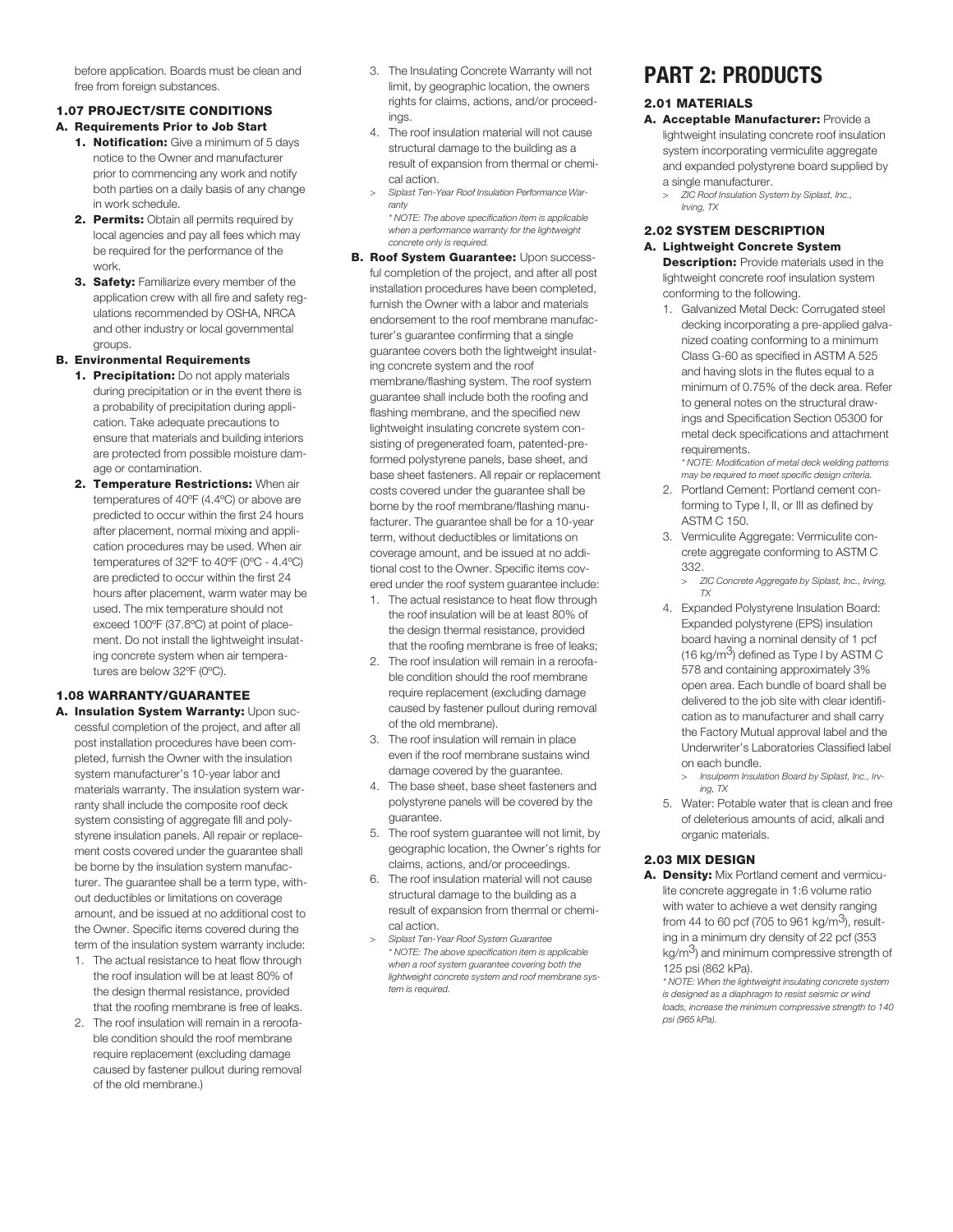before application. Boards must be clean and free from foreign substances.

# **1.07 PROJECT/SITE CONDITIONS**

- **A. Requirements Prior to Job Start**
	- **1. Notification:** Give a minimum of 5 days notice to the Owner and manufacturer prior to commencing any work and notify both parties on a daily basis of any change in work schedule.
	- **2. Permits:** Obtain all permits required by local agencies and pay all fees which may be required for the performance of the work.
	- **3. Safety:** Familiarize every member of the application crew with all fire and safety regulations recommended by OSHA, NRCA and other industry or local governmental groups.

# **B. Environmental Requirements**

- **1. Precipitation:** Do not apply materials during precipitation or in the event there is a probability of precipitation during application. Take adequate precautions to ensure that materials and building interiors are protected from possible moisture damage or contamination.
- **2. Temperature Restrictions:** When air temperatures of 40ºF (4.4ºC) or above are predicted to occur within the first 24 hours after placement, normal mixing and application procedures may be used. When air temperatures of 32ºF to 40ºF (0ºC - 4.4ºC) are predicted to occur within the first 24 hours after placement, warm water may be used. The mix temperature should not exceed 100ºF (37.8ºC) at point of placement. Do not install the lightweight insulating concrete system when air temperatures are below 32ºF (0ºC).

# **1.08 WARRANTY/GUARANTEE**

- **A. Insulation System Warranty:** Upon successful completion of the project, and after all post installation procedures have been completed, furnish the Owner with the insulation system manufacturer's 10-year labor and materials warranty. The insulation system warranty shall include the composite roof deck system consisting of aggregate fill and polystyrene insulation panels. All repair or replacement costs covered under the guarantee shall be borne by the insulation system manufacturer. The guarantee shall be a term type, without deductibles or limitations on coverage amount, and be issued at no additional cost to the Owner. Specific items covered during the term of the insulation system warranty include:
	- 1. The actual resistance to heat flow through the roof insulation will be at least 80% of the design thermal resistance, provided that the roofing membrane is free of leaks.
	- 2. The roof insulation will remain in a reroofable condition should the roof membrane require replacement (excluding damage caused by fastener pullout during removal of the old membrane.)
- 3. The Insulating Concrete Warranty will not limit, by geographic location, the owners rights for claims, actions, and/or proceedings.
- 4. The roof insulation material will not cause structural damage to the building as a result of expansion from thermal or chemical action.
- *> Siplast Ten-Year Roof Insulation Performance Warranty \* NOTE: The above specification item is applicable*
- *when a performance warranty for the lightweight concrete only is required.* **B. Roof System Guarantee:** Upon success
	- ful completion of the project, and after all post installation procedures have been completed, furnish the Owner with a labor and materials endorsement to the roof membrane manufacturer's guarantee confirming that a single guarantee covers both the lightweight insulating concrete system and the roof membrane/flashing system. The roof system guarantee shall include both the roofing and flashing membrane, and the specified new lightweight insulating concrete system consisting of pregenerated foam, patented-preformed polystyrene panels, base sheet, and base sheet fasteners. All repair or replacement costs covered under the guarantee shall be borne by the roof membrane/flashing manufacturer. The guarantee shall be for a 10-year term, without deductibles or limitations on coverage amount, and be issued at no additional cost to the Owner. Specific items covered under the roof system guarantee include:
	- 1. The actual resistance to heat flow through the roof insulation will be at least 80% of the design thermal resistance, provided that the roofing membrane is free of leaks;
	- 2. The roof insulation will remain in a reroofable condition should the roof membrane require replacement (excluding damage caused by fastener pullout during removal of the old membrane).
	- 3. The roof insulation will remain in place even if the roof membrane sustains wind damage covered by the guarantee.
	- 4. The base sheet, base sheet fasteners and polystyrene panels will be covered by the guarantee.
	- 5. The roof system guarantee will not limit, by geographic location, the Owner's rights for claims, actions, and/or proceedings.
	- 6. The roof insulation material will not cause structural damage to the building as a result of expansion from thermal or chemical action.
	- *> Siplast Ten-Year Roof System Guarantee \* NOTE: The above specification item is applicable when a roof system guarantee covering both the lightweight concrete system and roof membrane system is required.*

# **PART 2: PRODUCTS**

# **2.01 MATERIALS**

- **A. Acceptable Manufacturer:** Provide a lightweight insulating concrete roof insulation system incorporating vermiculite aggregate and expanded polystyrene board supplied by a single manufacturer.
	- *> ZIC Roof Insulation System by Siplast, Inc., Irving, TX*

#### **2.02 SYSTEM DESCRIPTION A. Lightweight Concrete System**

**Description:** Provide materials used in the lightweight concrete roof insulation system conforming to the following.

1. Galvanized Metal Deck: Corrugated steel decking incorporating a pre-applied galvanized coating conforming to a minimum Class G-60 as specified in ASTM A 525 and having slots in the flutes equal to a minimum of 0.75% of the deck area. Refer to general notes on the structural drawings and Specification Section 05300 for metal deck specifications and attachment requirements.

*\* NOTE: Modification of metal deck welding patterns may be required to meet specific design criteria.*

- 2. Portland Cement: Portland cement conforming to Type I, II, or III as defined by ASTM C 150.
- 3. Vermiculite Aggregate: Vermiculite concrete aggregate conforming to ASTM C 332.
	- *> ZIC Concrete Aggregate by Siplast, Inc., Irving, TX*
- 4. Expanded Polystyrene Insulation Board: Expanded polystyrene (EPS) insulation board having a nominal density of 1 pcf (16 kg/m3) defined as Type I by ASTM C 578 and containing approximately 3% open area. Each bundle of board shall be delivered to the job site with clear identification as to manufacturer and shall carry the Factory Mutual approval label and the Underwriter's Laboratories Classified label on each bundle.
	- *> Insulperm Insulation Board by Siplast, Inc., Irving, TX*
- 5. Water: Potable water that is clean and free of deleterious amounts of acid, alkali and organic materials.

# **2.03 MIX DESIGN**

**A. Density:** Mix Portland cement and vermiculite concrete aggregate in 1:6 volume ratio with water to achieve a wet density ranging from 44 to 60 pcf (705 to 961 kg/m<sup>3</sup>), resulting in a minimum dry density of 22 pcf (353  $kg/m<sup>3</sup>$ ) and minimum compressive strength of 125 psi (862 kPa).

*\* NOTE: When the lightweight insulating concrete system is designed as a diaphragm to resist seismic or wind loads, increase the minimum compressive strength to 140 psi (965 kPa).*